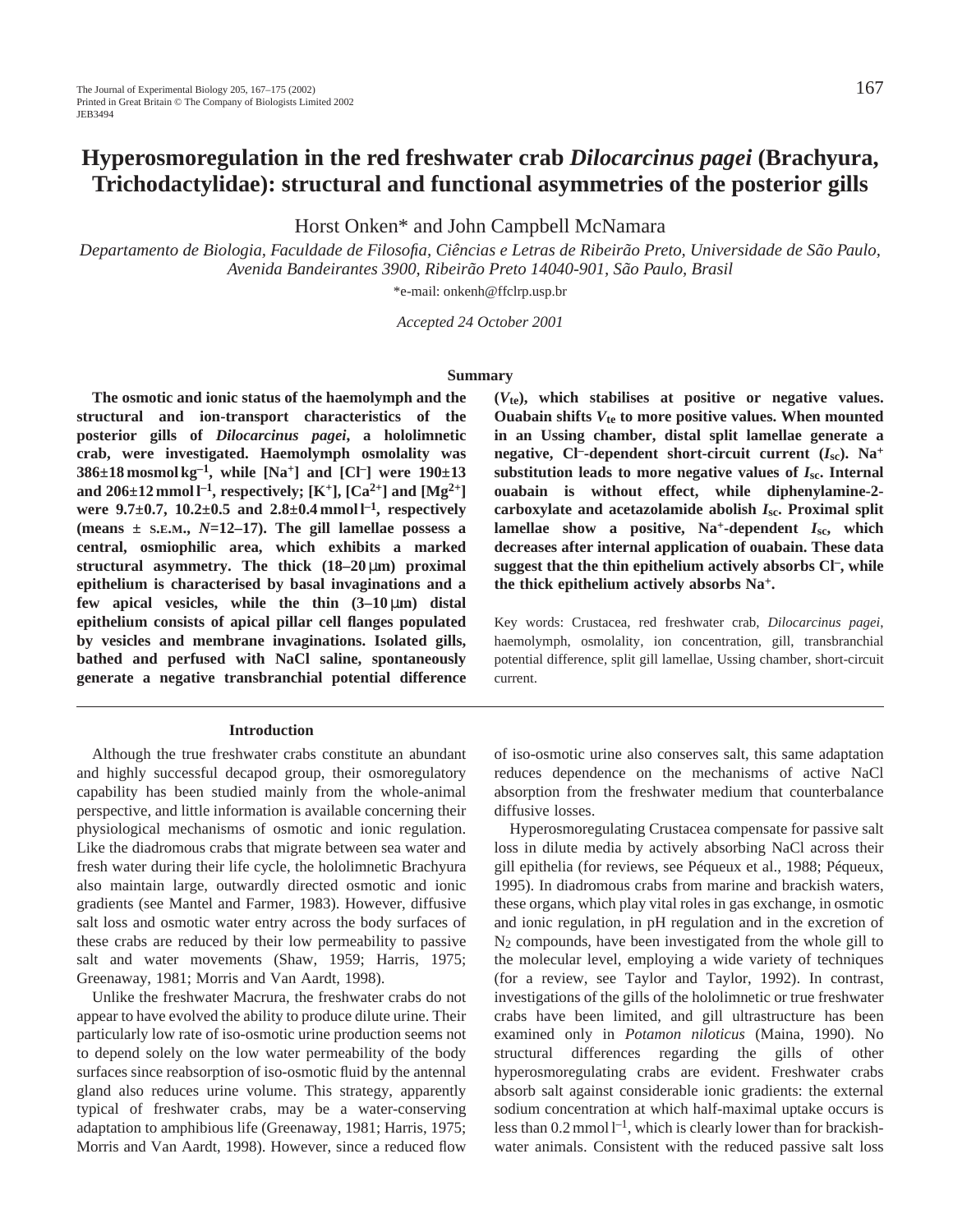# **Hyperosmoregulation in the red freshwater crab** *Dilocarcinus pagei* **(Brachyura, Trichodactylidae): structural and functional asymmetries of the posterior gills**

Horst Onken\* and John Campbell McNamara

*Departamento de Biologia, Faculdade de Filosofia, Ciências e Letras de Ribeirão Preto, Universidade de São Paulo, Avenida Bandeirantes 3900, Ribeirão Preto 14040-901, São Paulo, Brasil*

\*e-mail: onkenh@ffclrp.usp.br

*Accepted 24 October 2001*

#### **Summary**

**The osmotic and ionic status of the haemolymph and the structural and ion-transport characteristics of the posterior gills of** *Dilocarcinus pagei***, a hololimnetic crab, were investigated. Haemolymph osmolality was 386** $\pm$ **18** mosmol kg<sup>-1</sup>, while [Na<sup>+</sup>] and [Cl<sup>-</sup>] were 190 $\pm$ **13** and  $206 \pm 12$  mmol  $l^{-1}$ , respectively; [K<sup>+</sup>], [Ca<sup>2+</sup>] and [Mg<sup>2+</sup>] **were 9.7±0.7, 10.2±0.5 and 2.8±0.4 mmol l–1, respectively (means ± S.E.M.,** *N***=12–17). The gill lamellae possess a central, osmiophilic area, which exhibits a marked structural asymmetry. The thick (18–20** µ**m) proximal epithelium is characterised by basal invaginations and a** few apical vesicles, while the thin  $(3-10 \mu m)$  distal **epithelium consists of apical pillar cell flanges populated by vesicles and membrane invaginations. Isolated gills, bathed and perfused with NaCl saline, spontaneously generate a negative transbranchial potential difference**

## **Introduction**

Although the true freshwater crabs constitute an abundant and highly successful decapod group, their osmoregulatory capability has been studied mainly from the whole-animal perspective, and little information is available concerning their physiological mechanisms of osmotic and ionic regulation. Like the diadromous crabs that migrate between sea water and fresh water during their life cycle, the hololimnetic Brachyura also maintain large, outwardly directed osmotic and ionic gradients (see Mantel and Farmer, 1983). However, diffusive salt loss and osmotic water entry across the body surfaces of these crabs are reduced by their low permeability to passive salt and water movements (Shaw, 1959; Harris, 1975; Greenaway, 1981; Morris and Van Aardt, 1998).

Unlike the freshwater Macrura, the freshwater crabs do not appear to have evolved the ability to produce dilute urine. Their particularly low rate of iso-osmotic urine production seems not to depend solely on the low water permeability of the body surfaces since reabsorption of iso-osmotic fluid by the antennal gland also reduces urine volume. This strategy, apparently typical of freshwater crabs, may be a water-conserving adaptation to amphibious life (Greenaway, 1981; Harris, 1975; Morris and Van Aardt, 1998). However, since a reduced flow **(***V***te), which stabilises at positive or negative values. Ouabain shifts** *V***te to more positive values. When mounted in an Ussing chamber, distal split lamellae generate a negative, Cl–-dependent short-circuit current (***I***sc). Na+ substitution leads to more negative values of** *I***sc. Internal ouabain is without effect, while diphenylamine-2 carboxylate and acetazolamide abolish** *I***sc. Proximal split lamellae show a positive, Na+-dependent** *I***sc, which decreases after internal application of ouabain. These data suggest that the thin epithelium actively absorbs Cl–, while the thick epithelium actively absorbs Na+.**

Key words: Crustacea, red freshwater crab, *Dilocarcinus pagei*, haemolymph, osmolality, ion concentration, gill, transbranchial potential difference, split gill lamellae, Ussing chamber, short-circuit current.

of iso-osmotic urine also conserves salt, this same adaptation reduces dependence on the mechanisms of active NaCl absorption from the freshwater medium that counterbalance diffusive losses.

Hyperosmoregulating Crustacea compensate for passive salt loss in dilute media by actively absorbing NaCl across their gill epithelia (for reviews, see Péqueux et al., 1988; Péqueux, 1995). In diadromous crabs from marine and brackish waters, these organs, which play vital roles in gas exchange, in osmotic and ionic regulation, in pH regulation and in the excretion of N2 compounds, have been investigated from the whole gill to the molecular level, employing a wide variety of techniques (for a review, see Taylor and Taylor, 1992). In contrast, investigations of the gills of the hololimnetic or true freshwater crabs have been limited, and gill ultrastructure has been examined only in *Potamon niloticus* (Maina, 1990). No structural differences regarding the gills of other hyperosmoregulating crabs are evident. Freshwater crabs absorb salt against considerable ionic gradients: the external sodium concentration at which half-maximal uptake occurs is less than  $0.2$  mmol  $l^{-1}$ , which is clearly lower than for brackishwater animals. Consistent with the reduced passive salt loss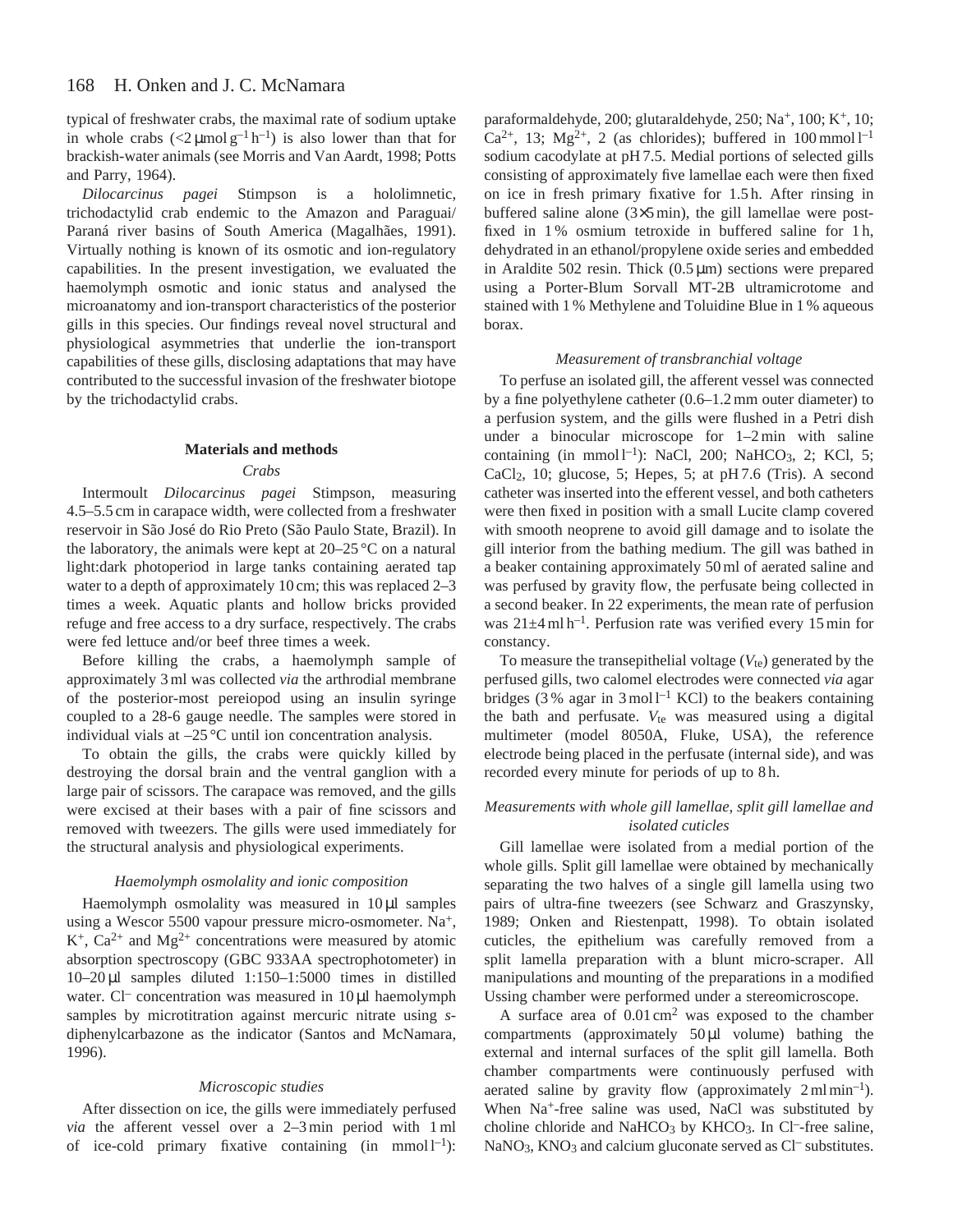typical of freshwater crabs, the maximal rate of sodium uptake in whole crabs  $\left( \langle 2 \mu \text{mol g}^{-1} \text{h}^{-1} \right)$  is also lower than that for brackish-water animals (see Morris and Van Aardt, 1998; Potts and Parry, 1964).

*Dilocarcinus pagei* Stimpson is a hololimnetic, trichodactylid crab endemic to the Amazon and Paraguai/ Paraná river basins of South America (Magalhães, 1991). Virtually nothing is known of its osmotic and ion-regulatory capabilities. In the present investigation, we evaluated the haemolymph osmotic and ionic status and analysed the microanatomy and ion-transport characteristics of the posterior gills in this species. Our findings reveal novel structural and physiological asymmetries that underlie the ion-transport capabilities of these gills, disclosing adaptations that may have contributed to the successful invasion of the freshwater biotope by the trichodactylid crabs.

# **Materials and methods**

# *Crabs*

Intermoult *Dilocarcinus pagei* Stimpson, measuring 4.5–5.5 cm in carapace width, were collected from a freshwater reservoir in São José do Rio Preto (São Paulo State, Brazil). In the laboratory, the animals were kept at  $20-25$  °C on a natural light:dark photoperiod in large tanks containing aerated tap water to a depth of approximately 10 cm; this was replaced 2–3 times a week. Aquatic plants and hollow bricks provided refuge and free access to a dry surface, respectively. The crabs were fed lettuce and/or beef three times a week.

Before killing the crabs, a haemolymph sample of approximately 3 ml was collected *via* the arthrodial membrane of the posterior-most pereiopod using an insulin syringe coupled to a 28-6 gauge needle. The samples were stored in individual vials at –25 °C until ion concentration analysis.

To obtain the gills, the crabs were quickly killed by destroying the dorsal brain and the ventral ganglion with a large pair of scissors. The carapace was removed, and the gills were excised at their bases with a pair of fine scissors and removed with tweezers. The gills were used immediately for the structural analysis and physiological experiments.

# *Haemolymph osmolality and ionic composition*

Haemolymph osmolality was measured in 10 µl samples using a Wescor 5500 vapour pressure micro-osmometer. Na<sup>+</sup>,  $K^+$ ,  $Ca^{2+}$  and  $Mg^{2+}$  concentrations were measured by atomic absorption spectroscopy (GBC 933AA spectrophotometer) in 10–20 µl samples diluted 1:150–1:5000 times in distilled water.  $Cl^-$  concentration was measured in  $10 \mu l$  haemolymph samples by microtitration against mercuric nitrate using *s*diphenylcarbazone as the indicator (Santos and McNamara, 1996).

#### *Microscopic studies*

After dissection on ice, the gills were immediately perfused *via* the afferent vessel over a 2–3 min period with 1 ml of ice-cold primary fixative containing (in mmol $1^{-1}$ ):

paraformaldehyde, 200; glutaraldehyde, 250; Na<sup>+</sup>, 100; K<sup>+</sup>, 10; Ca<sup>2+</sup>, 13; Mg<sup>2+</sup>, 2 (as chlorides); buffered in 100 mmol  $l^{-1}$ sodium cacodylate at pH 7.5. Medial portions of selected gills consisting of approximately five lamellae each were then fixed on ice in fresh primary fixative for 1.5 h. After rinsing in buffered saline alone (3×5 min), the gill lamellae were postfixed in 1 % osmium tetroxide in buffered saline for 1 h, dehydrated in an ethanol/propylene oxide series and embedded in Araldite 502 resin. Thick  $(0.5 \,\text{\mu m})$  sections were prepared using a Porter-Blum Sorvall MT-2B ultramicrotome and stained with 1 % Methylene and Toluidine Blue in 1 % aqueous borax.

# *Measurement of transbranchial voltage*

To perfuse an isolated gill, the afferent vessel was connected by a fine polyethylene catheter (0.6–1.2 mm outer diameter) to a perfusion system, and the gills were flushed in a Petri dish under a binocular microscope for 1–2 min with saline containing (in mmol  $l^{-1}$ ): NaCl, 200; NaHCO<sub>3</sub>, 2; KCl, 5; CaCl2, 10; glucose, 5; Hepes, 5; at pH 7.6 (Tris). A second catheter was inserted into the efferent vessel, and both catheters were then fixed in position with a small Lucite clamp covered with smooth neoprene to avoid gill damage and to isolate the gill interior from the bathing medium. The gill was bathed in a beaker containing approximately 50 ml of aerated saline and was perfused by gravity flow, the perfusate being collected in a second beaker. In 22 experiments, the mean rate of perfusion was  $21\pm4$  ml h<sup>-1</sup>. Perfusion rate was verified every 15 min for constancy.

To measure the transepithelial voltage  $(V_{te})$  generated by the perfused gills, two calomel electrodes were connected *via* agar bridges (3% agar in 3 mol  $l^{-1}$  KCl) to the beakers containing the bath and perfusate.  $V_{te}$  was measured using a digital multimeter (model 8050A, Fluke, USA), the reference electrode being placed in the perfusate (internal side), and was recorded every minute for periods of up to 8 h.

# *Measurements with whole gill lamellae, split gill lamellae and isolated cuticles*

Gill lamellae were isolated from a medial portion of the whole gills. Split gill lamellae were obtained by mechanically separating the two halves of a single gill lamella using two pairs of ultra-fine tweezers (see Schwarz and Graszynsky, 1989; Onken and Riestenpatt, 1998). To obtain isolated cuticles, the epithelium was carefully removed from a split lamella preparation with a blunt micro-scraper. All manipulations and mounting of the preparations in a modified Ussing chamber were performed under a stereomicroscope.

A surface area of  $0.01 \text{ cm}^2$  was exposed to the chamber compartments (approximately 50µl volume) bathing the external and internal surfaces of the split gill lamella. Both chamber compartments were continuously perfused with aerated saline by gravity flow (approximately  $2 \text{ ml min}^{-1}$ ). When Na<sup>+</sup>-free saline was used, NaCl was substituted by choline chloride and NaHCO<sub>3</sub> by KHCO<sub>3</sub>. In Cl<sup>-</sup>-free saline, NaNO<sub>3</sub>, KNO<sub>3</sub> and calcium gluconate served as Cl<sup>–</sup> substitutes.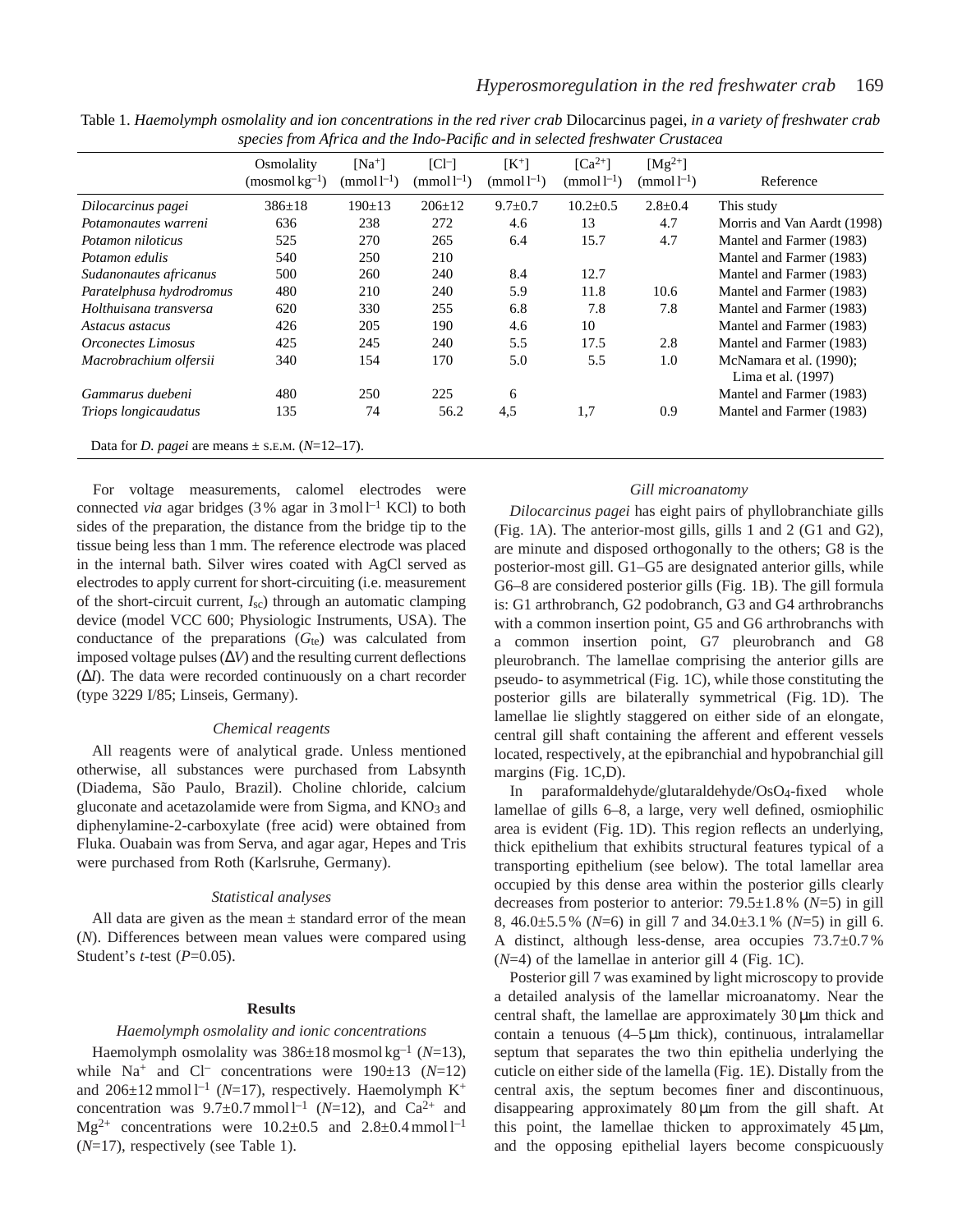|                                                                     | Osmolality<br>$(mosmol \, \text{kg}^{-1})$ | $[Na^+]$<br>$(mmol-1)$ | $ Cl^- $<br>$(mmol-1)$ | $\mathsf{K}^+$<br>$(mmol-1)$ | $\lceil Ca^{2+} \rceil$<br>$(mmol-1)$ | $[Mg^{2+}]$<br>$(mmol-1)$ | Reference                                        |
|---------------------------------------------------------------------|--------------------------------------------|------------------------|------------------------|------------------------------|---------------------------------------|---------------------------|--------------------------------------------------|
| Dilocarcinus pagei                                                  | $386 \pm 18$                               | $190 \pm 13$           | $206 \pm 12$           | $9.7 \pm 0.7$                | $10.2 \pm 0.5$                        | $2.8 \pm 0.4$             | This study                                       |
| Potamonautes warreni                                                | 636                                        | 238                    | 272                    | 4.6                          | 13                                    | 4.7                       | Morris and Van Aardt (1998)                      |
| Potamon niloticus                                                   | 525                                        | 270                    | 265                    | 6.4                          | 15.7                                  | 4.7                       | Mantel and Farmer (1983)                         |
| Potamon edulis                                                      | 540                                        | 250                    | 210                    |                              |                                       |                           | Mantel and Farmer (1983)                         |
| Sudanonautes africanus                                              | 500                                        | 260                    | 240                    | 8.4                          | 12.7                                  |                           | Mantel and Farmer (1983)                         |
| Paratelphusa hydrodromus                                            | 480                                        | 210                    | 240                    | 5.9                          | 11.8                                  | 10.6                      | Mantel and Farmer (1983)                         |
| Holthuisana transversa                                              | 620                                        | 330                    | 255                    | 6.8                          | 7.8                                   | 7.8                       | Mantel and Farmer (1983)                         |
| Astacus astacus                                                     | 426                                        | 205                    | 190                    | 4.6                          | 10                                    |                           | Mantel and Farmer (1983)                         |
| <i><b>Orconectes Limosus</b></i>                                    | 425                                        | 245                    | 240                    | 5.5                          | 17.5                                  | 2.8                       | Mantel and Farmer (1983)                         |
| Macrobrachium olfersii                                              | 340                                        | 154                    | 170                    | 5.0                          | 5.5                                   | 1.0                       | McNamara et al. $(1990)$ ;<br>Lima et al. (1997) |
| Gammarus duebeni                                                    | 480                                        | 250                    | 225                    | 6                            |                                       |                           | Mantel and Farmer (1983)                         |
| Triops longicaudatus                                                | 135                                        | 74                     | 56.2                   | 4,5                          | 1,7                                   | 0.9                       | Mantel and Farmer (1983)                         |
| Data for <i>D. pagei</i> are means $\pm$ s.e.m. ( <i>N</i> =12–17). |                                            |                        |                        |                              |                                       |                           |                                                  |

Table 1. *Haemolymph osmolality and ion concentrations in the red river crab* Dilocarcinus pagei, *in a variety of freshwater crab species from Africa and the Indo-Pacific and in selected freshwater Crustacea*

For voltage measurements, calomel electrodes were connected *via* agar bridges (3% agar in  $3 \text{ mol}^{-1}$  KCl) to both sides of the preparation, the distance from the bridge tip to the tissue being less than 1 mm. The reference electrode was placed in the internal bath. Silver wires coated with AgCl served as electrodes to apply current for short-circuiting (i.e. measurement of the short-circuit current, *I*sc) through an automatic clamping device (model VCC 600; Physiologic Instruments, USA). The conductance of the preparations (*G*te) was calculated from imposed voltage pulses (∆*V*) and the resulting current deflections (∆*I*). The data were recorded continuously on a chart recorder (type 3229 I/85; Linseis, Germany).

#### *Chemical reagents*

All reagents were of analytical grade. Unless mentioned otherwise, all substances were purchased from Labsynth (Diadema, São Paulo, Brazil). Choline chloride, calcium gluconate and acetazolamide were from Sigma, and KNO3 and diphenylamine-2-carboxylate (free acid) were obtained from Fluka. Ouabain was from Serva, and agar agar, Hepes and Tris were purchased from Roth (Karlsruhe, Germany).

#### *Statistical analyses*

All data are given as the mean  $\pm$  standard error of the mean (*N*). Differences between mean values were compared using Student's *t*-test (*P*=0.05).

#### **Results**

### *Haemolymph osmolality and ionic concentrations*

Haemolymph osmolality was 386±18 mosmol kg–1 (*N*=13), while Na<sup>+</sup> and Cl<sup>–</sup> concentrations were  $190\pm13$  (*N*=12) and  $206\pm12$  mmol<sup>1-1</sup> (*N*=17), respectively. Haemolymph K<sup>+</sup> concentration was  $9.7\pm0.7$  mmol<sup>1-1</sup> (*N*=12), and Ca<sup>2+</sup> and  $Mg^{2+}$  concentrations were 10.2 $\pm$ 0.5 and 2.8 $\pm$ 0.4 mmol l<sup>-1</sup> (*N*=17), respectively (see Table 1).

# *Gill microanatomy*

*Dilocarcinus pagei* has eight pairs of phyllobranchiate gills (Fig. 1A). The anterior-most gills, gills 1 and 2 (G1 and G2), are minute and disposed orthogonally to the others; G8 is the posterior-most gill. G1–G5 are designated anterior gills, while G6–8 are considered posterior gills (Fig. 1B). The gill formula is: G1 arthrobranch, G2 podobranch, G3 and G4 arthrobranchs with a common insertion point, G5 and G6 arthrobranchs with a common insertion point, G7 pleurobranch and G8 pleurobranch. The lamellae comprising the anterior gills are pseudo- to asymmetrical (Fig. 1C), while those constituting the posterior gills are bilaterally symmetrical (Fig. 1D). The lamellae lie slightly staggered on either side of an elongate, central gill shaft containing the afferent and efferent vessels located, respectively, at the epibranchial and hypobranchial gill margins (Fig. 1C,D).

In paraformaldehyde/glutaraldehyde/OsO4-fixed whole lamellae of gills 6–8, a large, very well defined, osmiophilic area is evident (Fig. 1D). This region reflects an underlying, thick epithelium that exhibits structural features typical of a transporting epithelium (see below). The total lamellar area occupied by this dense area within the posterior gills clearly decreases from posterior to anterior: 79.5±1.8 % (*N*=5) in gill 8, 46.0±5.5 % (*N*=6) in gill 7 and 34.0±3.1 % (*N*=5) in gill 6. A distinct, although less-dense, area occupies 73.7±0.7 %  $(N=4)$  of the lamellae in anterior gill 4 (Fig. 1C).

Posterior gill 7 was examined by light microscopy to provide a detailed analysis of the lamellar microanatomy. Near the central shaft, the lamellae are approximately 30 µm thick and contain a tenuous  $(4-5 \mu m)$  thick), continuous, intralamellar septum that separates the two thin epithelia underlying the cuticle on either side of the lamella (Fig. 1E). Distally from the central axis, the septum becomes finer and discontinuous, disappearing approximately 80 µm from the gill shaft. At this point, the lamellae thicken to approximately  $45 \mu m$ , and the opposing epithelial layers become conspicuously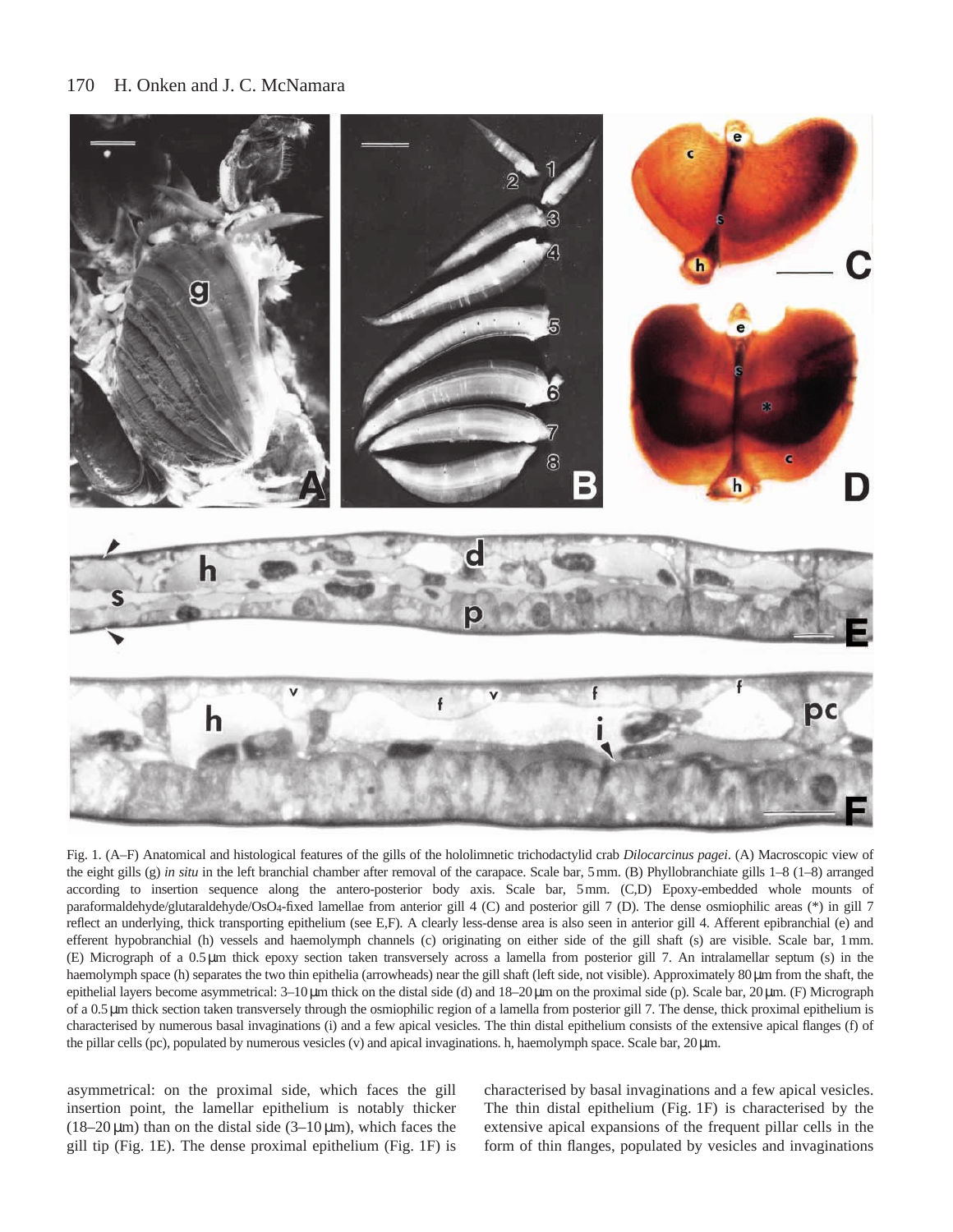#### 170 H. Onken and J. C. McNamara



Fig. 1. (A–F) Anatomical and histological features of the gills of the hololimnetic trichodactylid crab *Dilocarcinus pagei*. (A) Macroscopic view of the eight gills (g) *in situ* in the left branchial chamber after removal of the carapace. Scale bar, 5mm. (B) Phyllobranchiate gills 1–8 (1–8) arranged according to insertion sequence along the antero-posterior body axis. Scale bar, 5mm. (C,D) Epoxy-embedded whole mounts of paraformaldehyde/glutaraldehyde/OsO4-fixed lamellae from anterior gill 4 (C) and posterior gill 7 (D). The dense osmiophilic areas (\*) in gill 7 reflect an underlying, thick transporting epithelium (see E,F). A clearly less-dense area is also seen in anterior gill 4. Afferent epibranchial (e) and efferent hypobranchial (h) vessels and haemolymph channels (c) originating on either side of the gill shaft (s) are visible. Scale bar, 1mm. (E) Micrograph of a 0.5µm thick epoxy section taken transversely across a lamella from posterior gill 7. An intralamellar septum (s) in the haemolymph space (h) separates the two thin epithelia (arrowheads) near the gill shaft (left side, not visible). Approximately 80 µm from the shaft, the epithelial layers become asymmetrical: 3–10µm thick on the distal side (d) and 18–20µm on the proximal side (p). Scale bar, 20µm. (F) Micrograph of a 0.5µm thick section taken transversely through the osmiophilic region of a lamella from posterior gill 7. The dense, thick proximal epithelium is characterised by numerous basal invaginations (i) and a few apical vesicles. The thin distal epithelium consists of the extensive apical flanges (f) of the pillar cells (pc), populated by numerous vesicles (v) and apical invaginations. h, haemolymph space. Scale bar, 20µm.

asymmetrical: on the proximal side, which faces the gill insertion point, the lamellar epithelium is notably thicker (18–20  $\mu$ m) than on the distal side (3–10  $\mu$ m), which faces the gill tip (Fig. 1E). The dense proximal epithelium (Fig. 1F) is characterised by basal invaginations and a few apical vesicles. The thin distal epithelium (Fig. 1F) is characterised by the extensive apical expansions of the frequent pillar cells in the form of thin flanges, populated by vesicles and invaginations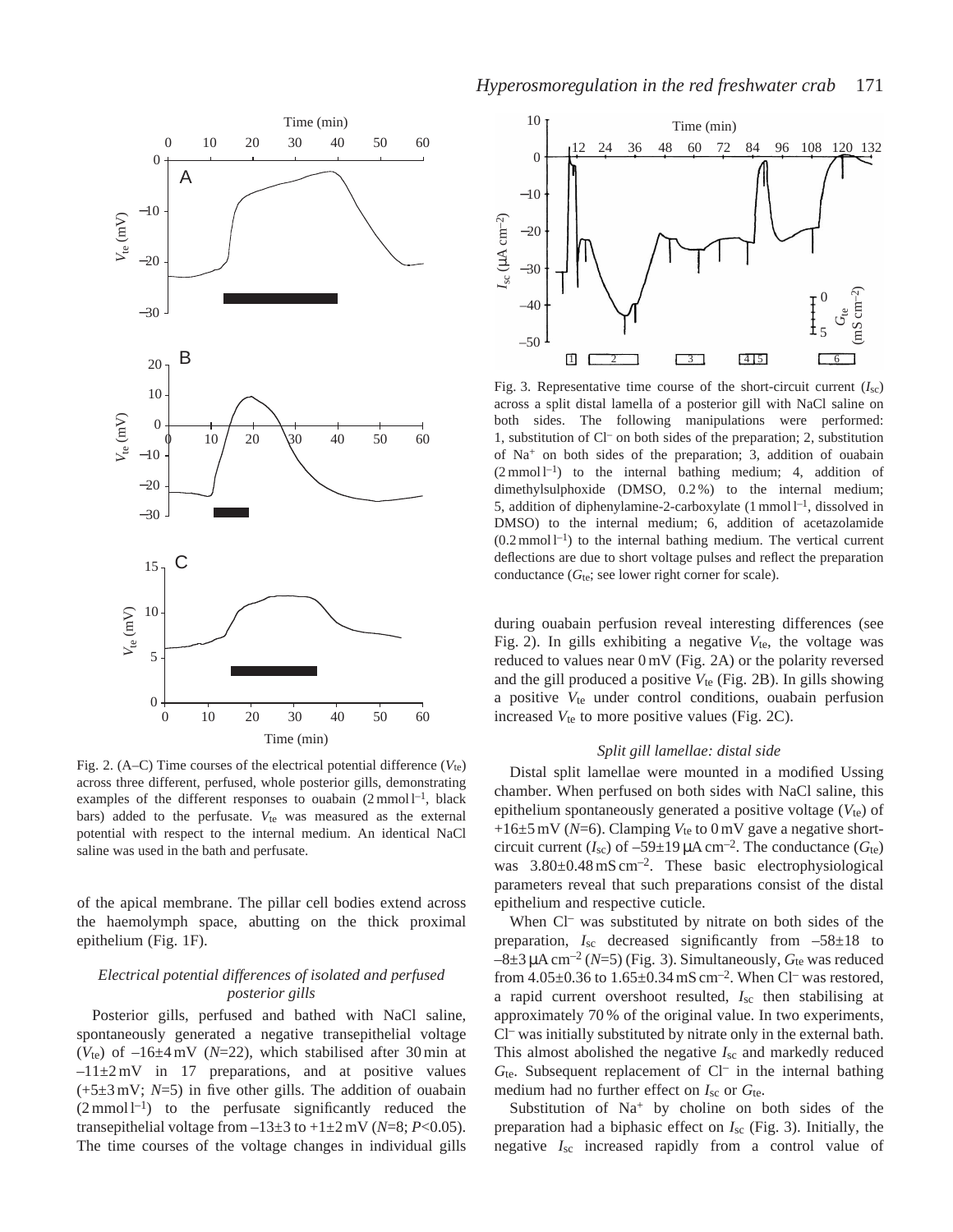

Fig. 2. (A–C) Time courses of the electrical potential difference  $(V_{te})$ across three different, perfused, whole posterior gills, demonstrating examples of the different responses to ouabain  $(2 \text{ mmol } l^{-1})$ , black bars) added to the perfusate. *V*<sub>te</sub> was measured as the external potential with respect to the internal medium. An identical NaCl saline was used in the bath and perfusate.

of the apical membrane. The pillar cell bodies extend across the haemolymph space, abutting on the thick proximal epithelium (Fig. 1F).

# *Electrical potential differences of isolated and perfused posterior gills*

Posterior gills, perfused and bathed with NaCl saline, spontaneously generated a negative transepithelial voltage ( $V_{te}$ ) of  $-16\pm4$  mV ( $N=22$ ), which stabilised after 30 min at  $-11\pm2$  mV in 17 preparations, and at positive values (+5±3 mV; *N*=5) in five other gills. The addition of ouabain  $(2 \text{ mmol } 1^{-1})$  to the perfusate significantly reduced the transepithelial voltage from  $-13\pm3$  to  $+1\pm2$  mV (*N*=8; *P*<0.05). The time courses of the voltage changes in individual gills



Fig. 3. Representative time course of the short-circuit current  $(I_{\rm sc})$ across a split distal lamella of a posterior gill with NaCl saline on both sides. The following manipulations were performed: 1, substitution of Cl– on both sides of the preparation; 2, substitution of Na+ on both sides of the preparation; 3, addition of ouabain  $(2 \text{ mmol } l^{-1})$  to the internal bathing medium; 4, addition of dimethylsulphoxide (DMSO, 0.2 %) to the internal medium; 5, addition of diphenylamine-2-carboxylate (1 mmol l<sup>-1</sup>, dissolved in DMSO) to the internal medium; 6, addition of acetazolamide  $(0.2 \text{ mmol } l^{-1})$  to the internal bathing medium. The vertical current deflections are due to short voltage pulses and reflect the preparation conductance  $(G_{te};$  see lower right corner for scale).

during ouabain perfusion reveal interesting differences (see Fig. 2). In gills exhibiting a negative  $V_{te}$ , the voltage was reduced to values near 0 mV (Fig. 2A) or the polarity reversed and the gill produced a positive  $V_{te}$  (Fig. 2B). In gills showing a positive *V*te under control conditions, ouabain perfusion increased  $V_{te}$  to more positive values (Fig. 2C).

# *Split gill lamellae: distal side*

Distal split lamellae were mounted in a modified Ussing chamber. When perfused on both sides with NaCl saline, this epithelium spontaneously generated a positive voltage ( $V_{te}$ ) of  $+16\pm5$  mV ( $N=6$ ). Clamping  $V_{te}$  to 0 mV gave a negative shortcircuit current  $(I_{\text{sc}})$  of  $-59\pm19 \,\mu\text{A cm}^{-2}$ . The conductance  $(G_{\text{te}})$ was  $3.80\pm0.48$  mS cm<sup>-2</sup>. These basic electrophysiological parameters reveal that such preparations consist of the distal epithelium and respective cuticle.

When Cl<sup>-</sup> was substituted by nitrate on both sides of the preparation,  $I_{\text{sc}}$  decreased significantly from  $-58\pm18$  to  $-8\pm3$  µA cm<sup>-2</sup> (N=5) (Fig. 3). Simultaneously,  $G_{te}$  was reduced from  $4.05\pm0.36$  to  $1.65\pm0.34$  mS cm<sup>-2</sup>. When Cl<sup>-</sup> was restored, a rapid current overshoot resulted, *I*sc then stabilising at approximately 70 % of the original value. In two experiments, Cl– was initially substituted by nitrate only in the external bath. This almost abolished the negative *I*sc and markedly reduced *G*te. Subsequent replacement of Cl– in the internal bathing medium had no further effect on *I*sc or *G*te.

Substitution of  $Na<sup>+</sup>$  by choline on both sides of the preparation had a biphasic effect on *I*sc (Fig. 3). Initially, the negative *I*sc increased rapidly from a control value of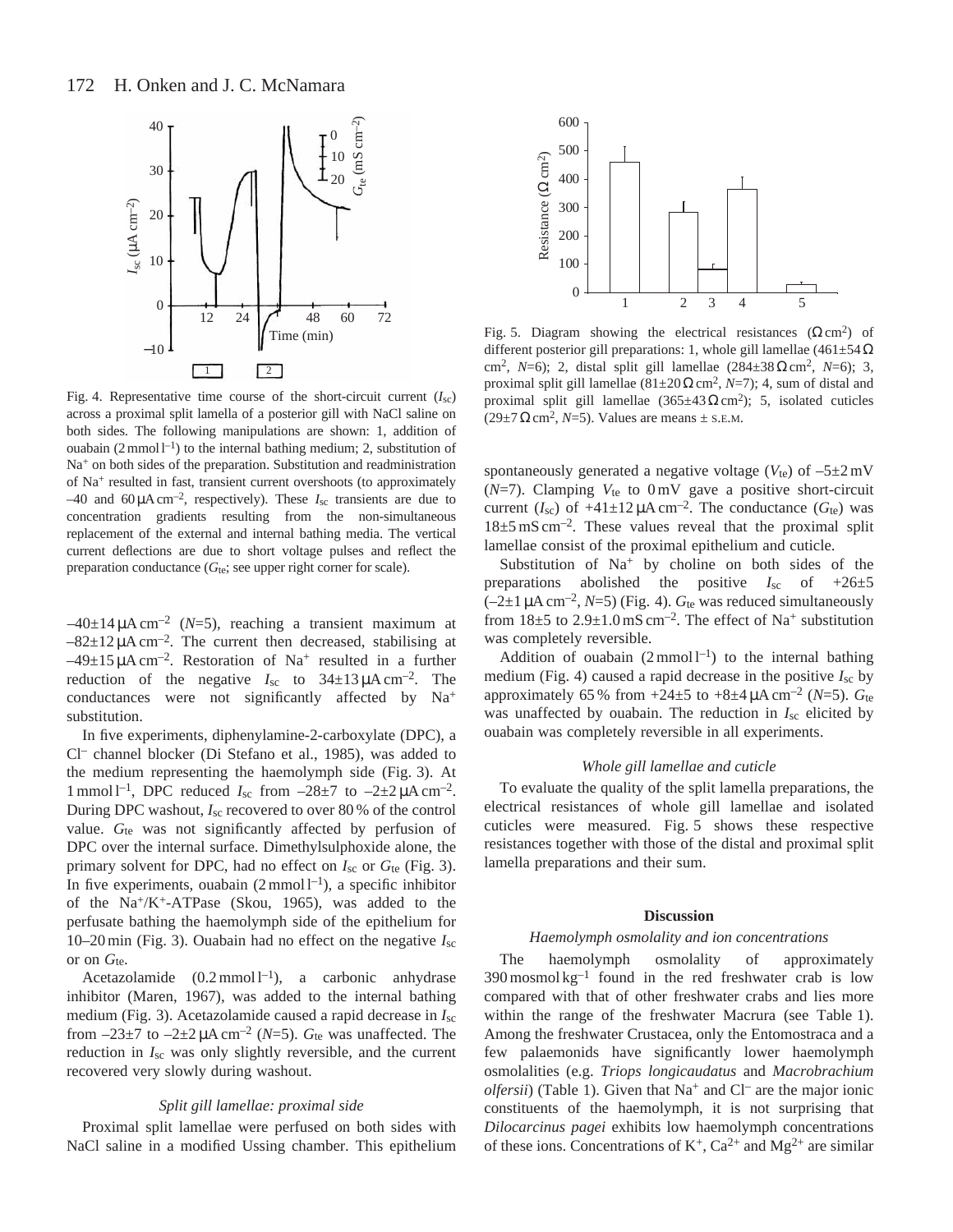

Fig. 4. Representative time course of the short-circuit current  $(I_{\rm sc})$ across a proximal split lamella of a posterior gill with NaCl saline on both sides. The following manipulations are shown: 1, addition of ouabain  $(2 \text{ mmol } l^{-1})$  to the internal bathing medium; 2, substitution of Na<sup>+</sup> on both sides of the preparation. Substitution and readministration of Na+ resulted in fast, transient current overshoots (to approximately  $-40$  and  $60 \mu A \text{ cm}^{-2}$ , respectively). These  $I_{\text{sc}}$  transients are due to concentration gradients resulting from the non-simultaneous replacement of the external and internal bathing media. The vertical current deflections are due to short voltage pulses and reflect the preparation conductance  $(G_{te};$  see upper right corner for scale).

 $-40\pm14 \mu A \text{ cm}^{-2}$  (*N*=5), reaching a transient maximum at  $-82\pm12 \mu A \text{ cm}^{-2}$ . The current then decreased, stabilising at  $-49\pm15 \mu A \text{ cm}^{-2}$ . Restoration of Na<sup>+</sup> resulted in a further reduction of the negative  $I_{\rm sc}$  to  $34 \pm 13 \,\mu A \,\text{cm}^{-2}$ . The conductances were not significantly affected by Na<sup>+</sup> substitution.

In five experiments, diphenylamine-2-carboxylate (DPC), a Cl– channel blocker (Di Stefano et al., 1985), was added to the medium representing the haemolymph side (Fig. 3). At 1 mmol l<sup>-1</sup>, DPC reduced  $I_{\rm sc}$  from  $-28\pm7$  to  $-2\pm2\,\mu\text{A cm}^{-2}$ . During DPC washout, *I*sc recovered to over 80 % of the control value. G<sub>te</sub> was not significantly affected by perfusion of DPC over the internal surface. Dimethylsulphoxide alone, the primary solvent for DPC, had no effect on  $I_{\rm sc}$  or  $G_{\rm te}$  (Fig. 3). In five experiments, ouabain  $(2 \text{ mmol } l^{-1})$ , a specific inhibitor of the  $Na^+/K^+$ -ATPase (Skou, 1965), was added to the perfusate bathing the haemolymph side of the epithelium for 10–20 min (Fig. 3). Ouabain had no effect on the negative *I*sc or on *G*te.

Acetazolamide  $(0.2 \text{ mmol } 1^{-1})$ , a carbonic anhydrase inhibitor (Maren, 1967), was added to the internal bathing medium (Fig. 3). Acetazolamide caused a rapid decrease in *I*sc from  $-23\pm7$  to  $-2\pm2\mu A$  cm<sup>-2</sup> (N=5).  $G_{te}$  was unaffected. The reduction in *I*sc was only slightly reversible, and the current recovered very slowly during washout.

# *Split gill lamellae: proximal side*

Proximal split lamellae were perfused on both sides with NaCl saline in a modified Ussing chamber. This epithelium



Fig. 5. Diagram showing the electrical resistances  $(\Omega \text{ cm}^2)$  of different posterior gill preparations: 1, whole gill lamellae (461±54 $\Omega$ ) cm2, *N*=6); 2, distal split gill lamellae (284±38Ωcm2, *N*=6); 3, proximal split gill lamellae (81±20Ωcm2, *N*=7); 4, sum of distal and proximal split gill lamellae  $(365\pm43 \Omega \text{ cm}^2)$ ; 5, isolated cuticles  $(29\pm7 \Omega \text{ cm}^2, N=5)$ . Values are means  $\pm$  s.e.m.

spontaneously generated a negative voltage ( $V_{te}$ ) of  $-5\pm2$  mV (*N*=7). Clamping *V*te to 0 mV gave a positive short-circuit current ( $I_{\text{sc}}$ ) of  $+41\pm12 \mu A \text{ cm}^{-2}$ . The conductance ( $G_{\text{te}}$ ) was  $18\pm5$  mS cm<sup>-2</sup>. These values reveal that the proximal split lamellae consist of the proximal epithelium and cuticle.

Substitution of Na<sup>+</sup> by choline on both sides of the preparations abolished the positive *I*sc of +26±5  $(-2\pm1 \,\mu A \, \text{cm}^{-2}, N=5)$  (Fig. 4).  $G_{\text{te}}$  was reduced simultaneously from  $18\pm5$  to  $2.9\pm1.0$  mS cm<sup>-2</sup>. The effect of Na<sup>+</sup> substitution was completely reversible.

Addition of ouabain  $(2 \text{ mmol } l^{-1})$  to the internal bathing medium (Fig. 4) caused a rapid decrease in the positive *I*sc by approximately 65 % from  $+24\pm5$  to  $+8\pm4 \mu A \text{ cm}^{-2}$  (*N*=5). *G*te was unaffected by ouabain. The reduction in *I*sc elicited by ouabain was completely reversible in all experiments.

## *Whole gill lamellae and cuticle*

To evaluate the quality of the split lamella preparations, the electrical resistances of whole gill lamellae and isolated cuticles were measured. Fig. 5 shows these respective resistances together with those of the distal and proximal split lamella preparations and their sum.

# **Discussion**

# *Haemolymph osmolality and ion concentrations*

The haemolymph osmolality of approximately  $390$  mosmol kg<sup>-1</sup> found in the red freshwater crab is low compared with that of other freshwater crabs and lies more within the range of the freshwater Macrura (see Table 1). Among the freshwater Crustacea, only the Entomostraca and a few palaemonids have significantly lower haemolymph osmolalities (e.g. *Triops longicaudatus* and *Macrobrachium olfersii*) (Table 1). Given that  $Na^+$  and  $Cl^-$  are the major ionic constituents of the haemolymph, it is not surprising that *Dilocarcinus pagei* exhibits low haemolymph concentrations of these ions. Concentrations of  $K^+$ ,  $Ca^{2+}$  and  $Mg^{2+}$  are similar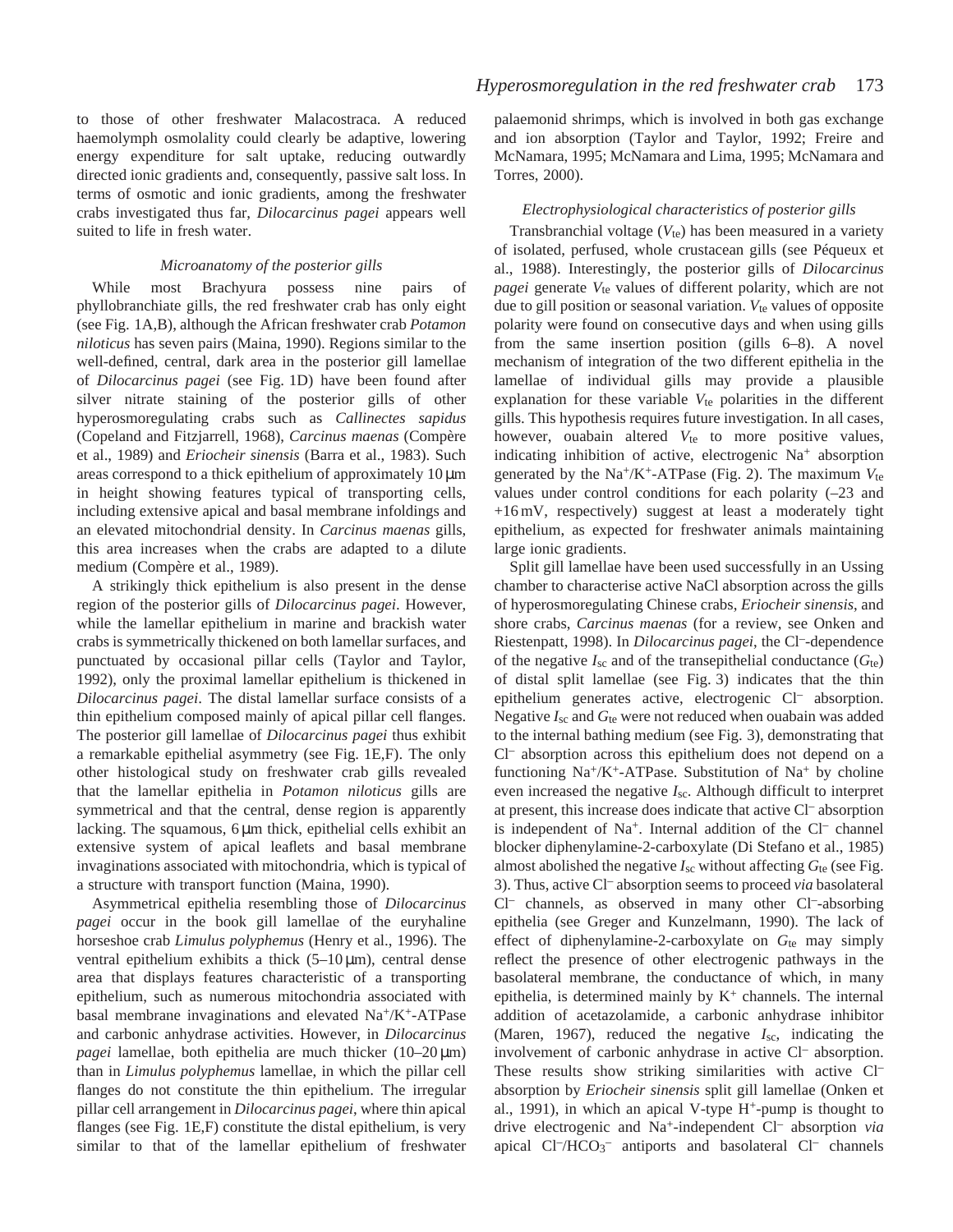to those of other freshwater Malacostraca. A reduced haemolymph osmolality could clearly be adaptive, lowering energy expenditure for salt uptake, reducing outwardly directed ionic gradients and, consequently, passive salt loss. In terms of osmotic and ionic gradients, among the freshwater crabs investigated thus far, *Dilocarcinus pagei* appears well suited to life in fresh water.

# *Microanatomy of the posterior gills*

While most Brachyura possess nine pairs of phyllobranchiate gills, the red freshwater crab has only eight (see Fig. 1A,B), although the African freshwater crab *Potamon niloticus* has seven pairs (Maina, 1990). Regions similar to the well-defined, central, dark area in the posterior gill lamellae of *Dilocarcinus pagei* (see Fig. 1D) have been found after silver nitrate staining of the posterior gills of other hyperosmoregulating crabs such as *Callinectes sapidus* (Copeland and Fitzjarrell, 1968), *Carcinus maenas* (Compère et al., 1989) and *Eriocheir sinensis* (Barra et al., 1983). Such areas correspond to a thick epithelium of approximately 10 µm in height showing features typical of transporting cells, including extensive apical and basal membrane infoldings and an elevated mitochondrial density. In *Carcinus maenas* gills, this area increases when the crabs are adapted to a dilute medium (Compère et al., 1989).

A strikingly thick epithelium is also present in the dense region of the posterior gills of *Dilocarcinus pagei*. However, while the lamellar epithelium in marine and brackish water crabs is symmetrically thickened on both lamellar surfaces, and punctuated by occasional pillar cells (Taylor and Taylor, 1992), only the proximal lamellar epithelium is thickened in *Dilocarcinus pagei*. The distal lamellar surface consists of a thin epithelium composed mainly of apical pillar cell flanges. The posterior gill lamellae of *Dilocarcinus pagei* thus exhibit a remarkable epithelial asymmetry (see Fig. 1E,F). The only other histological study on freshwater crab gills revealed that the lamellar epithelia in *Potamon niloticus* gills are symmetrical and that the central, dense region is apparently lacking. The squamous, 6  $\mu$ m thick, epithelial cells exhibit an extensive system of apical leaflets and basal membrane invaginations associated with mitochondria, which is typical of a structure with transport function (Maina, 1990).

Asymmetrical epithelia resembling those of *Dilocarcinus pagei* occur in the book gill lamellae of the euryhaline horseshoe crab *Limulus polyphemus* (Henry et al., 1996). The ventral epithelium exhibits a thick  $(5-10 \,\mu m)$ , central dense area that displays features characteristic of a transporting epithelium, such as numerous mitochondria associated with basal membrane invaginations and elevated Na+/K+-ATPase and carbonic anhydrase activities. However, in *Dilocarcinus pagei* lamellae, both epithelia are much thicker (10–20 µm) than in *Limulus polyphemus* lamellae, in which the pillar cell flanges do not constitute the thin epithelium. The irregular pillar cell arrangement in *Dilocarcinus pagei*, where thin apical flanges (see Fig. 1E,F) constitute the distal epithelium, is very similar to that of the lamellar epithelium of freshwater palaemonid shrimps, which is involved in both gas exchange and ion absorption (Taylor and Taylor, 1992; Freire and McNamara, 1995; McNamara and Lima, 1995; McNamara and Torres, 2000).

# *Electrophysiological characteristics of posterior gills*

Transbranchial voltage  $(V_{te})$  has been measured in a variety of isolated, perfused, whole crustacean gills (see Péqueux et al., 1988). Interestingly, the posterior gills of *Dilocarcinus pagei* generate  $V_{te}$  values of different polarity, which are not due to gill position or seasonal variation. *V*te values of opposite polarity were found on consecutive days and when using gills from the same insertion position (gills 6–8). A novel mechanism of integration of the two different epithelia in the lamellae of individual gills may provide a plausible explanation for these variable  $V_{te}$  polarities in the different gills. This hypothesis requires future investigation. In all cases, however, ouabain altered  $V_{te}$  to more positive values, indicating inhibition of active, electrogenic Na+ absorption generated by the Na+/K+-ATPase (Fig. 2). The maximum *V*te values under control conditions for each polarity (–23 and +16 mV, respectively) suggest at least a moderately tight epithelium, as expected for freshwater animals maintaining large ionic gradients.

Split gill lamellae have been used successfully in an Ussing chamber to characterise active NaCl absorption across the gills of hyperosmoregulating Chinese crabs, *Eriocheir sinensis*, and shore crabs, *Carcinus maenas* (for a review, see Onken and Riestenpatt, 1998). In *Dilocarcinus pagei*, the Cl–-dependence of the negative  $I_{\rm sc}$  and of the transepithelial conductance  $(G_{\rm te})$ of distal split lamellae (see Fig. 3) indicates that the thin epithelium generates active, electrogenic Cl– absorption. Negative *I*sc and *G*te were not reduced when ouabain was added to the internal bathing medium (see Fig. 3), demonstrating that Cl– absorption across this epithelium does not depend on a functioning  $Na^+/K^+$ -ATPase. Substitution of  $Na^+$  by choline even increased the negative *I*sc. Although difficult to interpret at present, this increase does indicate that active Cl– absorption is independent of  $Na^+$ . Internal addition of the  $Cl^-$  channel blocker diphenylamine-2-carboxylate (Di Stefano et al., 1985) almost abolished the negative  $I_{\rm sc}$  without affecting  $G_{\rm te}$  (see Fig. 3). Thus, active Cl– absorption seems to proceed *via* basolateral Cl– channels, as observed in many other Cl–-absorbing epithelia (see Greger and Kunzelmann, 1990). The lack of effect of diphenylamine-2-carboxylate on G<sub>te</sub> may simply reflect the presence of other electrogenic pathways in the basolateral membrane, the conductance of which, in many epithelia, is determined mainly by  $K^+$  channels. The internal addition of acetazolamide, a carbonic anhydrase inhibitor (Maren, 1967), reduced the negative *I*sc, indicating the involvement of carbonic anhydrase in active Cl– absorption. These results show striking similarities with active Cl<sup>-</sup> absorption by *Eriocheir sinensis* split gill lamellae (Onken et al., 1991), in which an apical V-type  $H^+$ -pump is thought to drive electrogenic and Na+-independent Cl– absorption *via* apical Cl<sup>-</sup>/HCO<sub>3</sub><sup>-</sup> antiports and basolateral Cl<sup>-</sup> channels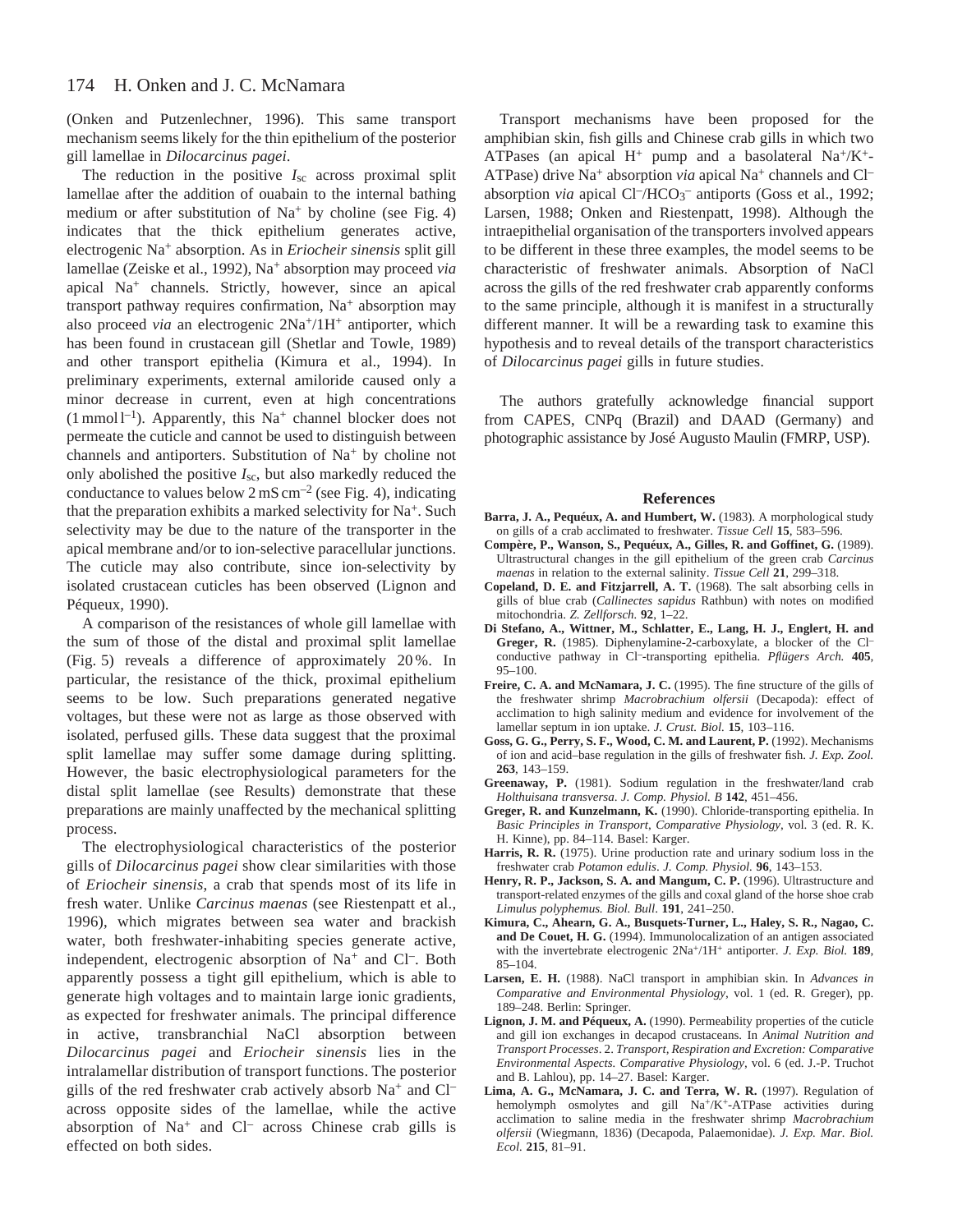(Onken and Putzenlechner, 1996). This same transport mechanism seems likely for the thin epithelium of the posterior gill lamellae in *Dilocarcinus pagei*.

The reduction in the positive *I*sc across proximal split lamellae after the addition of ouabain to the internal bathing medium or after substitution of  $Na<sup>+</sup>$  by choline (see Fig. 4) indicates that the thick epithelium generates active, electrogenic Na+ absorption. As in *Eriocheir sinensis* split gill lamellae (Zeiske et al., 1992), Na+ absorption may proceed *via* apical Na+ channels. Strictly, however, since an apical transport pathway requires confirmation, Na<sup>+</sup> absorption may also proceed *via* an electrogenic  $2Na^{+/1}H^{+}$  antiporter, which has been found in crustacean gill (Shetlar and Towle, 1989) and other transport epithelia (Kimura et al., 1994). In preliminary experiments, external amiloride caused only a minor decrease in current, even at high concentrations  $(1 \text{ mmol } 1^{-1})$ . Apparently, this Na<sup>+</sup> channel blocker does not permeate the cuticle and cannot be used to distinguish between channels and antiporters. Substitution of Na<sup>+</sup> by choline not only abolished the positive *I*sc, but also markedly reduced the conductance to values below  $2 \text{ mS cm}^{-2}$  (see Fig. 4), indicating that the preparation exhibits a marked selectivity for Na<sup>+</sup>. Such selectivity may be due to the nature of the transporter in the apical membrane and/or to ion-selective paracellular junctions. The cuticle may also contribute, since ion-selectivity by isolated crustacean cuticles has been observed (Lignon and Péqueux, 1990).

A comparison of the resistances of whole gill lamellae with the sum of those of the distal and proximal split lamellae (Fig. 5) reveals a difference of approximately 20 %. In particular, the resistance of the thick, proximal epithelium seems to be low. Such preparations generated negative voltages, but these were not as large as those observed with isolated, perfused gills. These data suggest that the proximal split lamellae may suffer some damage during splitting. However, the basic electrophysiological parameters for the distal split lamellae (see Results) demonstrate that these preparations are mainly unaffected by the mechanical splitting process.

The electrophysiological characteristics of the posterior gills of *Dilocarcinus pagei* show clear similarities with those of *Eriocheir sinensis*, a crab that spends most of its life in fresh water. Unlike *Carcinus maenas* (see Riestenpatt et al., 1996), which migrates between sea water and brackish water, both freshwater-inhabiting species generate active, independent, electrogenic absorption of Na<sup>+</sup> and Cl–. Both apparently possess a tight gill epithelium, which is able to generate high voltages and to maintain large ionic gradients, as expected for freshwater animals. The principal difference in active, transbranchial NaCl absorption between *Dilocarcinus pagei* and *Eriocheir sinensis* lies in the intralamellar distribution of transport functions. The posterior gills of the red freshwater crab actively absorb  $Na^+$  and  $Cl^$ across opposite sides of the lamellae, while the active absorption of  $Na^+$  and  $Cl^-$  across Chinese crab gills is effected on both sides.

Transport mechanisms have been proposed for the amphibian skin, fish gills and Chinese crab gills in which two ATPases (an apical H<sup>+</sup> pump and a basolateral Na<sup>+</sup>/K<sup>+</sup>-ATPase) drive Na<sup>+</sup> absorption *via* apical Na<sup>+</sup> channels and Cl<sup>-</sup> absorption *via* apical Cl<sup>-</sup>/HCO<sub>3</sub><sup>-</sup> antiports (Goss et al., 1992; Larsen, 1988; Onken and Riestenpatt, 1998). Although the intraepithelial organisation of the transporters involved appears to be different in these three examples, the model seems to be characteristic of freshwater animals. Absorption of NaCl across the gills of the red freshwater crab apparently conforms to the same principle, although it is manifest in a structurally different manner. It will be a rewarding task to examine this hypothesis and to reveal details of the transport characteristics of *Dilocarcinus pagei* gills in future studies.

The authors gratefully acknowledge financial support from CAPES, CNPq (Brazil) and DAAD (Germany) and photographic assistance by José Augusto Maulin (FMRP, USP).

#### **References**

- **Barra, J. A., Pequéux, A. and Humbert, W.** (1983). A morphological study on gills of a crab acclimated to freshwater. *Tissue Cell* **15**, 583–596.
- **Compère, P., Wanson, S., Pequéux, A., Gilles, R. and Goffinet, G.** (1989). Ultrastructural changes in the gill epithelium of the green crab *Carcinus maenas* in relation to the external salinity. *Tissue Cell* **21**, 299–318.
- **Copeland, D. E. and Fitzjarrell, A. T.** (1968). The salt absorbing cells in gills of blue crab (*Callinectes sapidus* Rathbun) with notes on modified mitochondria. *Z. Zellforsch.* **92**, 1–22.
- **Di Stefano, A., Wittner, M., Schlatter, E., Lang, H. J., Englert, H. and Greger, R.** (1985). Diphenylamine-2-carboxylate, a blocker of the Cl– conductive pathway in Cl–-transporting epithelia. *Pflügers Arch.* **405**,  $95-100.$
- **Freire, C. A. and McNamara, J. C.** (1995). The fine structure of the gills of the freshwater shrimp *Macrobrachium olfersii* (Decapoda): effect of acclimation to high salinity medium and evidence for involvement of the lamellar septum in ion uptake. *J. Crust. Biol.* **15**, 103–116.
- **Goss, G. G., Perry, S. F., Wood, C. M. and Laurent, P.** (1992). Mechanisms of ion and acid–base regulation in the gills of freshwater fish. *J. Exp. Zool.* **263**, 143–159.
- **Greenaway, P.** (1981). Sodium regulation in the freshwater/land crab *Holthuisana transversa*. *J. Comp. Physiol. B* **142**, 451–456.
- **Greger, R. and Kunzelmann, K.** (1990). Chloride-transporting epithelia. In *Basic Principles in Transport*, *Comparative Physiology*, vol. 3 (ed. R. K. H. Kinne), pp. 84–114. Basel: Karger.
- **Harris, R. R.** (1975). Urine production rate and urinary sodium loss in the freshwater crab *Potamon edulis*. *J. Comp. Physiol.* **96**, 143–153.
- **Henry, R. P., Jackson, S. A. and Mangum, C. P.** (1996). Ultrastructure and transport-related enzymes of the gills and coxal gland of the horse shoe crab *Limulus polyphemus. Biol. Bull*. **191**, 241–250.
- **Kimura, C., Ahearn, G. A., Busquets-Turner, L., Haley, S. R., Nagao, C. and De Couet, H. G.** (1994). Immunolocalization of an antigen associated with the invertebrate electrogenic 2Na+/1H+ antiporter. *J. Exp. Biol.* **189**, 85–104.
- **Larsen, E. H.** (1988). NaCl transport in amphibian skin. In *Advances in Comparative and Environmental Physiology*, vol. 1 (ed. R. Greger), pp. 189–248. Berlin: Springer.
- **Lignon, J. M. and Péqueux, A.** (1990). Permeability properties of the cuticle and gill ion exchanges in decapod crustaceans. In *Animal Nutrition and Transport Processes*. 2. *Transport, Respiration and Excretion: Comparative Environmental Aspects. Comparative Physiology*, vol. 6 (ed. J.-P. Truchot and B. Lahlou), pp. 14–27. Basel: Karger.
- **Lima, A. G., McNamara, J. C. and Terra, W. R.** (1997). Regulation of hemolymph osmolytes and gill Na<sup>+</sup>/K<sup>+</sup>-ATPase activities during acclimation to saline media in the freshwater shrimp *Macrobrachium olfersii* (Wiegmann, 1836) (Decapoda, Palaemonidae). *J. Exp. Mar. Biol. Ecol.* **215**, 81–91.